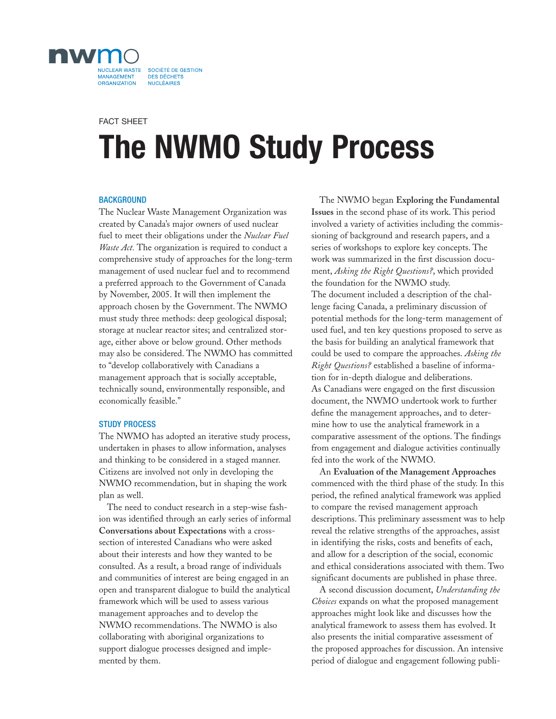

# **The NWMO Study Process** FACT SHEET

## **BACKGROUND**

The Nuclear Waste Management Organization was created by Canada's major owners of used nuclear fuel to meet their obligations under the *Nuclear Fuel Waste Act.* The organization is required to conduct a comprehensive study of approaches for the long-term management of used nuclear fuel and to recommend a preferred approach to the Government of Canada by November, 2005. It will then implement the approach chosen by the Government. The NWMO must study three methods: deep geological disposal; storage at nuclear reactor sites; and centralized storage, either above or below ground. Other methods may also be considered. The NWMO has committed to "develop collaboratively with Canadians a management approach that is socially acceptable, technically sound, environmentally responsible, and economically feasible."

## STUDY PROCESS

The NWMO has adopted an iterative study process, undertaken in phases to allow information, analyses and thinking to be considered in a staged manner. Citizens are involved not only in developing the NWMO recommendation, but in shaping the work plan as well.

The need to conduct research in a step-wise fashion was identified through an early series of informal **Conversations about Expectations** with a crosssection of interested Canadians who were asked about their interests and how they wanted to be consulted. As a result, a broad range of individuals and communities of interest are being engaged in an open and transparent dialogue to build the analytical framework which will be used to assess various management approaches and to develop the NWMO recommendations. The NWMO is also collaborating with aboriginal organizations to support dialogue processes designed and implemented by them.

The NWMO began **Exploring the Fundamental Issues** in the second phase of its work. This period involved a variety of activities including the commissioning of background and research papers, and a series of workshops to explore key concepts. The work was summarized in the first discussion document, *Asking the Right Questions?*, which provided the foundation for the NWMO study. The document included a description of the chal-

lenge facing Canada, a preliminary discussion of potential methods for the long-term management of used fuel, and ten key questions proposed to serve as the basis for building an analytical framework that could be used to compare the approaches. *Asking the Right Questions?* established a baseline of information for in-depth dialogue and deliberations. As Canadians were engaged on the first discussion document, the NWMO undertook work to further define the management approaches, and to determine how to use the analytical framework in a comparative assessment of the options. The findings from engagement and dialogue activities continually fed into the work of the NWMO.

An **Evaluation of the Management Approaches** commenced with the third phase of the study. In this period, the refined analytical framework was applied to compare the revised management approach descriptions. This preliminary assessment was to help reveal the relative strengths of the approaches, assist in identifying the risks, costs and benefits of each, and allow for a description of the social, economic and ethical considerations associated with them. Two significant documents are published in phase three.

A second discussion document, *Understanding the Choices* expands on what the proposed management approaches might look like and discusses how the analytical framework to assess them has evolved. It also presents the initial comparative assessment of the proposed approaches for discussion. An intensive period of dialogue and engagement following publi